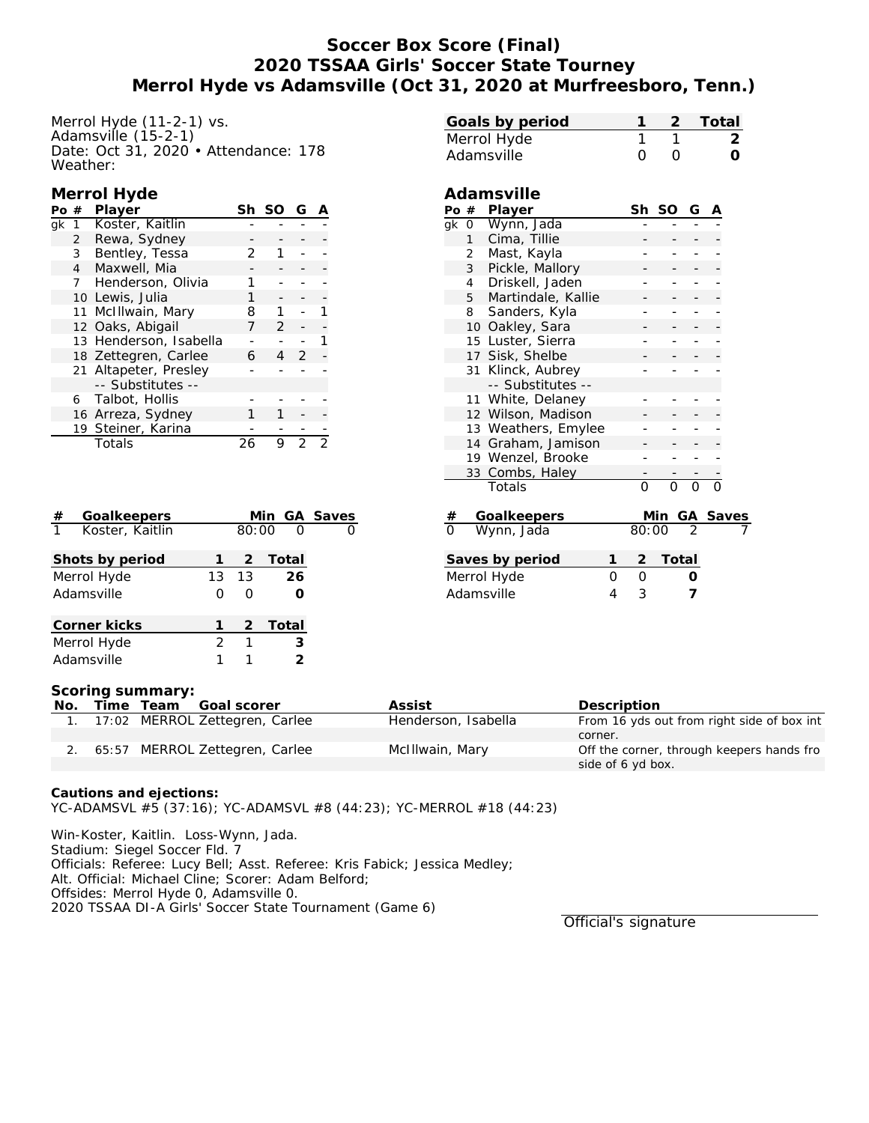# **Soccer Box Score (Final) 2020 TSSAA Girls' Soccer State Tourney Merrol Hyde vs Adamsville (Oct 31, 2020 at Murfreesboro, Tenn.)**

Merrol Hyde (11-2-1) vs. Adamsville  $(15-2-1)$ Date: Oct 31, 2020 • Attendance: 178 Weather:

## **Merrol Hyde**

| Pο | #            | Player                 | Sh | -SO           | G |  |
|----|--------------|------------------------|----|---------------|---|--|
| ak | -1           | Koster, Kaitlin        |    |               |   |  |
|    | $\mathbf{2}$ | Rewa, Sydney           |    |               |   |  |
|    | 3            | Bentley, Tessa         | フ  |               |   |  |
|    | 4            | Maxwell, Mia           |    |               |   |  |
|    | 7            | Henderson, Olivia      |    |               |   |  |
|    |              | 10 Lewis, Julia        |    |               |   |  |
|    |              | 11 McIllwain, Mary     | 8  |               |   |  |
|    |              | 12 Oaks, Abigail       |    | $\mathcal{P}$ |   |  |
|    |              | 13 Henderson, Isabella |    |               |   |  |
|    |              | 18 Zettegren, Carlee   | 6  |               | 2 |  |
|    |              | 21 Altapeter, Presley  |    |               |   |  |
|    |              | -- Substitutes --      |    |               |   |  |
|    | 6            | Talbot, Hollis         |    |               |   |  |
|    |              | 16 Arreza, Sydney      |    |               |   |  |
|    |              | 19 Steiner, Karina     |    |               |   |  |
|    |              | Totals                 | 26 | 9             | フ |  |
|    |              |                        |    |               |   |  |

| Goalkeepers<br>#                |               |       | Min GA Saves |  |
|---------------------------------|---------------|-------|--------------|--|
| $\mathbf{1}$<br>Koster, Kaitlin |               | 80:00 | $\Omega$     |  |
| Shots by period                 |               | 2     | Total        |  |
| Merrol Hyde                     | 13            | - 13  | 26           |  |
| Adamsville                      | Ω             | ∩     |              |  |
| Corner kicks                    |               |       | 2 Total      |  |
| Merrol Hyde                     | $\mathcal{P}$ | 1     | 3            |  |
| Adamsville                      |               |       | っ            |  |

|                |                     | Ω                   |          |                |          |               |
|----------------|---------------------|---------------------|----------|----------------|----------|---------------|
| Adamsville     |                     |                     | Ω        |                |          | $\frac{2}{0}$ |
|                | Adamsville          |                     |          |                |          |               |
|                | Po # Player         |                     | Sh SO    | G              |          |               |
| qk<br>0        | Wynn, Jada          |                     |          |                |          |               |
| 1              | Cima, Tillie        |                     |          |                |          |               |
| $\overline{2}$ | Mast, Kayla         |                     |          |                |          |               |
| 3              | Pickle, Mallory     |                     |          |                |          |               |
| 4              | Driskell, Jaden     |                     |          |                |          |               |
| 5              | Martindale, Kallie  |                     |          |                |          |               |
| 8              | Sanders, Kyla       |                     |          |                |          |               |
|                | 10 Oakley, Sara     |                     |          |                |          |               |
|                | 15 Luster, Sierra   |                     |          |                |          |               |
|                | 17 Sisk, Shelbe     |                     |          |                |          |               |
| 31             | Klinck, Aubrey      |                     |          |                |          |               |
|                | -- Substitutes --   |                     |          |                |          |               |
|                | 11 White, Delaney   |                     |          |                |          |               |
|                | 12 Wilson, Madison  |                     |          |                |          |               |
|                | 13 Weathers, Emylee |                     |          |                |          |               |
|                | 14 Graham, Jamison  |                     |          |                |          |               |
|                | 19 Wenzel, Brooke   |                     |          |                |          |               |
|                | 33 Combs, Haley     |                     |          |                |          |               |
|                | Totals              | $\Omega$            | $\Omega$ | O              | $\Omega$ |               |
| $\#$           | Goalkeepers         |                     | Min      | GA             | Saves    |               |
| $\overline{0}$ | Wynn, Jada          | 80:00               |          | $\mathfrak{D}$ |          |               |
|                | Saves by period     | 1<br>$\overline{2}$ | Total    |                |          |               |
|                | Merrol Hyde         | 0<br>$\Omega$       |          |                |          |               |
| Adamsville     |                     | 3<br>4              |          | 7              |          |               |

**Goals by period 1 2 Total**

#### **Scoring summary:**

| No. |  | Time Team Goal scorer             | Assist              | Description                                |
|-----|--|-----------------------------------|---------------------|--------------------------------------------|
|     |  | 1. 17:02 MERROL Zettegren, Carlee | Henderson, Isabella | From 16 yds out from right side of box int |
|     |  |                                   |                     | corner.                                    |
|     |  | 2. 65:57 MERROL Zettegren, Carlee | McIllwain, Mary     | Off the corner, through keepers hands fro  |
|     |  |                                   |                     | side of 6 yd box.                          |

**Cautions and ejections:** YC-ADAMSVL #5 (37:16); YC-ADAMSVL #8 (44:23); YC-MERROL #18 (44:23)

Win-Koster, Kaitlin. Loss-Wynn, Jada. Stadium: Siegel Soccer Fld. 7 Officials: Referee: Lucy Bell; Asst. Referee: Kris Fabick; Jessica Medley;

Alt. Official: Michael Cline; Scorer: Adam Belford;

Offsides: Merrol Hyde 0, Adamsville 0.

2020 TSSAA DI-A Girls' Soccer State Tournament (Game 6)

Official's signature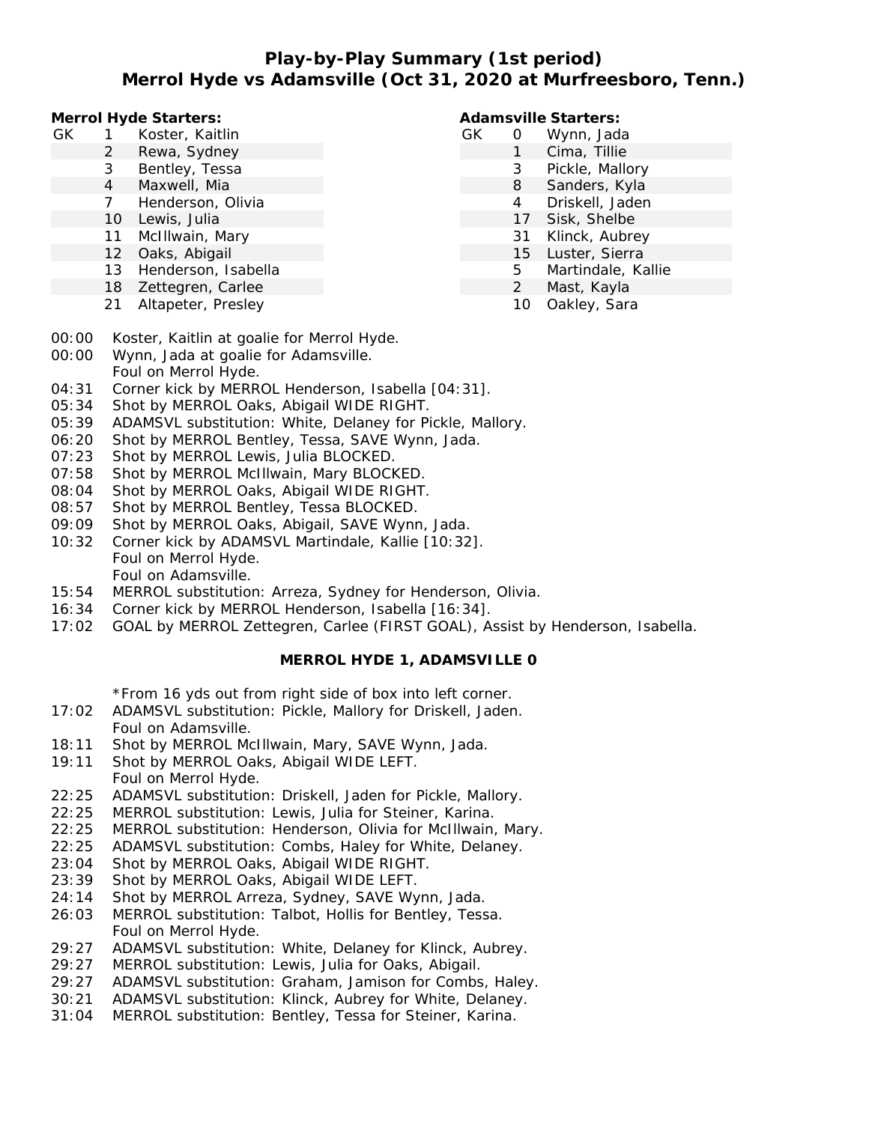# **Play-by-Play Summary (1st period) Merrol Hyde vs Adamsville (Oct 31, 2020 at Murfreesboro, Tenn.)**

**Merrol Hyde Starters:**

- GK 1 Koster, Kaitlin
	- 2 Rewa, Sydney
	- 3 Bentley, Tessa
	- 4 Maxwell, Mia
	- 7 Henderson, Olivia
	- 10 Lewis, Julia
	- 11 McIllwain, Mary
	- 12 Oaks, Abigail
	- 13 Henderson, Isabella
	- 18 Zettegren, Carlee
	- 21 Altapeter, Presley

### **Adamsville Starters:**

- GK 0 Wynn, Jada 1 Cima, Tillie
	- 3 Pickle, Mallory
		- 8 Sanders, Kyla
		- 4 Driskell, Jaden
		- 17 Sisk, Shelbe
		- 31 Klinck, Aubrey
		- 15 Luster, Sierra
		- 5 Martindale, Kallie
		- 2 Mast, Kayla
			- 10 Oakley, Sara
- 00:00 Koster, Kaitlin at goalie for Merrol Hyde.
- 00:00 Wynn, Jada at goalie for Adamsville. Foul on Merrol Hyde.
- 04:31 Corner kick by MERROL Henderson, Isabella [04:31].
- 05:34 Shot by MERROL Oaks, Abigail WIDE RIGHT.
- 05:39 ADAMSVL substitution: White, Delaney for Pickle, Mallory.
- 06:20 Shot by MERROL Bentley, Tessa, SAVE Wynn, Jada.
- 07:23 Shot by MERROL Lewis, Julia BLOCKED.
- 07:58 Shot by MERROL McIllwain, Mary BLOCKED.
- 08:04 Shot by MERROL Oaks, Abigail WIDE RIGHT.
- 08:57 Shot by MERROL Bentley, Tessa BLOCKED.
- 09:09 Shot by MERROL Oaks, Abigail, SAVE Wynn, Jada.
- 10:32 Corner kick by ADAMSVL Martindale, Kallie [10:32]. Foul on Merrol Hyde. Foul on Adamsville.
- 15:54 MERROL substitution: Arreza, Sydney for Henderson, Olivia.
- 16:34 Corner kick by MERROL Henderson, Isabella [16:34].
- 17:02 GOAL by MERROL Zettegren, Carlee (FIRST GOAL), Assist by Henderson, Isabella.

## **MERROL HYDE 1, ADAMSVILLE 0**

\*From 16 yds out from right side of box into left corner.

- 17:02 ADAMSVL substitution: Pickle, Mallory for Driskell, Jaden. Foul on Adamsville.
- 18:11 Shot by MERROL McIllwain, Mary, SAVE Wynn, Jada.
- 19:11 Shot by MERROL Oaks, Abigail WIDE LEFT. Foul on Merrol Hyde.
- 22:25 ADAMSVL substitution: Driskell, Jaden for Pickle, Mallory.
- 22:25 MERROL substitution: Lewis, Julia for Steiner, Karina.
- 22:25 MERROL substitution: Henderson, Olivia for McIllwain, Mary.
- 22:25 ADAMSVL substitution: Combs, Haley for White, Delaney.
- 23:04 Shot by MERROL Oaks, Abigail WIDE RIGHT.
- 23:39 Shot by MERROL Oaks, Abigail WIDE LEFT.
- 24:14 Shot by MERROL Arreza, Sydney, SAVE Wynn, Jada.
- 26:03 MERROL substitution: Talbot, Hollis for Bentley, Tessa. Foul on Merrol Hyde.
- 29:27 ADAMSVL substitution: White, Delaney for Klinck, Aubrey.
- 29:27 MERROL substitution: Lewis, Julia for Oaks, Abigail.
- 29:27 ADAMSVL substitution: Graham, Jamison for Combs, Haley.
- 30:21 ADAMSVL substitution: Klinck, Aubrey for White, Delaney.
- 31:04 MERROL substitution: Bentley, Tessa for Steiner, Karina.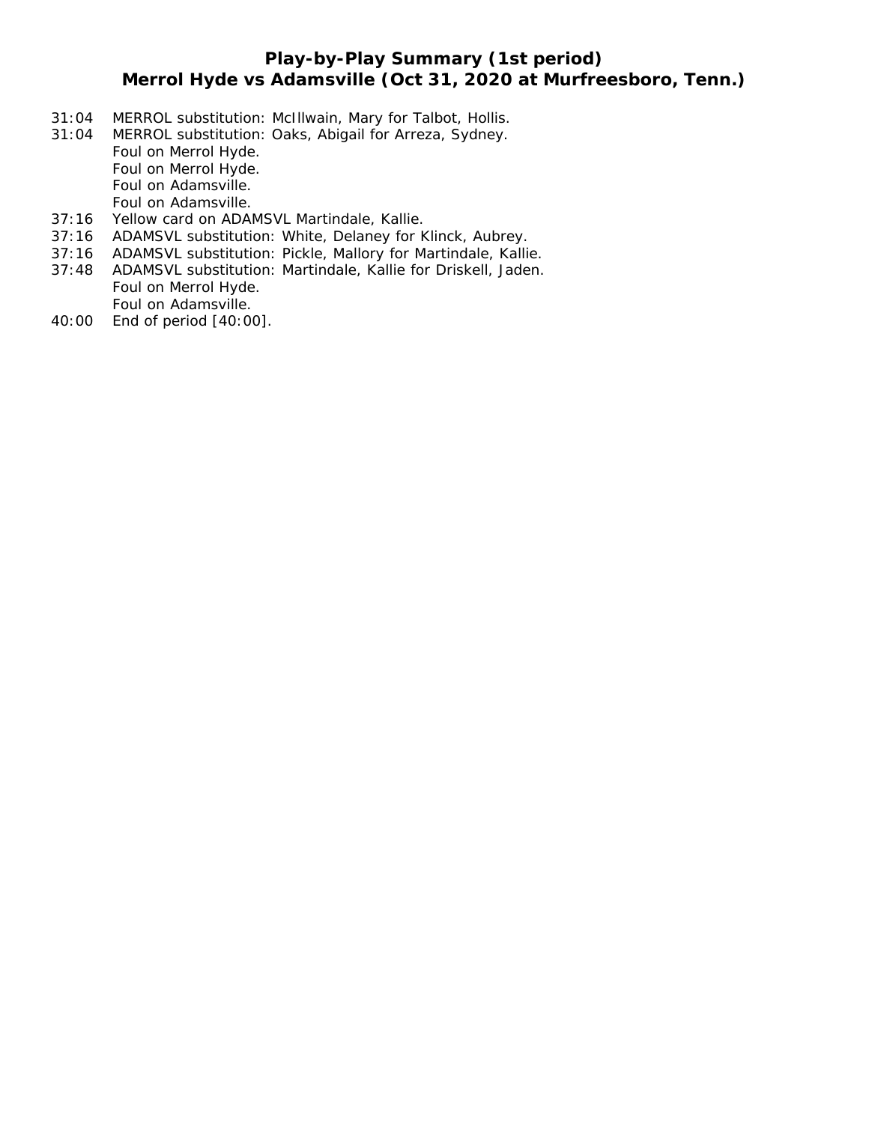# **Play-by-Play Summary (1st period) Merrol Hyde vs Adamsville (Oct 31, 2020 at Murfreesboro, Tenn.)**

- 31:04 MERROL substitution: McIllwain, Mary for Talbot, Hollis.
- 31:04 MERROL substitution: Oaks, Abigail for Arreza, Sydney. Foul on Merrol Hyde. Foul on Merrol Hyde. Foul on Adamsville. Foul on Adamsville.
- 37:16 Yellow card on ADAMSVL Martindale, Kallie.
- 37:16 ADAMSVL substitution: White, Delaney for Klinck, Aubrey.
- 37:16 ADAMSVL substitution: Pickle, Mallory for Martindale, Kallie.
- 37:48 ADAMSVL substitution: Martindale, Kallie for Driskell, Jaden. Foul on Merrol Hyde. Foul on Adamsville.
- 40:00 End of period [40:00].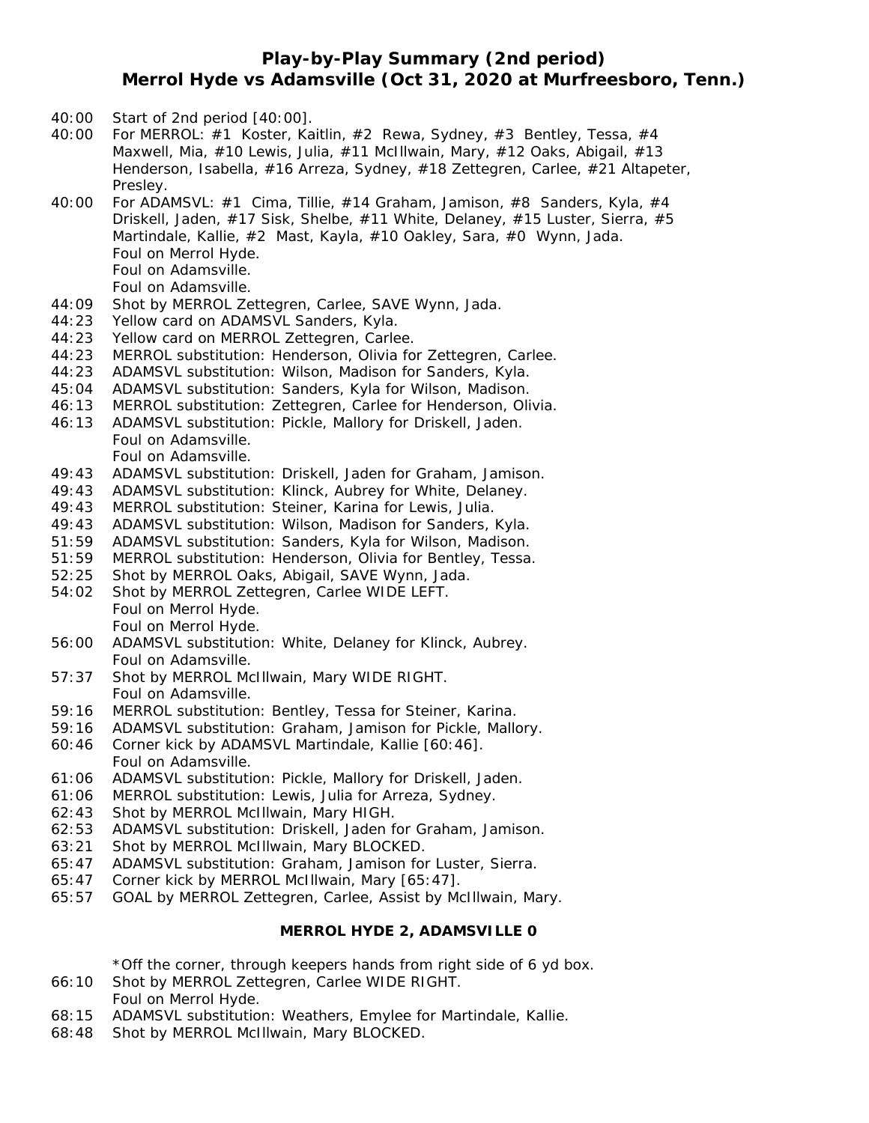# **Play-by-Play Summary (2nd period) Merrol Hyde vs Adamsville (Oct 31, 2020 at Murfreesboro, Tenn.)**

- 40:00 Start of 2nd period [40:00].
- 40:00 For MERROL: #1 Koster, Kaitlin, #2 Rewa, Sydney, #3 Bentley, Tessa, #4 Maxwell, Mia, #10 Lewis, Julia, #11 McIllwain, Mary, #12 Oaks, Abigail, #13 Henderson, Isabella, #16 Arreza, Sydney, #18 Zettegren, Carlee, #21 Altapeter, Presley.
- 40:00 For ADAMSVL:  $\#1$  Cima, Tillie,  $\#14$  Graham, Jamison,  $\#8$  Sanders, Kyla,  $\#4$ Driskell, Jaden, #17 Sisk, Shelbe, #11 White, Delaney, #15 Luster, Sierra, #5 Martindale, Kallie, #2 Mast, Kayla, #10 Oakley, Sara, #0 Wynn, Jada. Foul on Merrol Hyde. Foul on Adamsville. Foul on Adamsville.
- 44:09 Shot by MERROL Zettegren, Carlee, SAVE Wynn, Jada.
- 44:23 Yellow card on ADAMSVL Sanders, Kyla.
- 44:23 Yellow card on MERROL Zettegren, Carlee.
- 44:23 MERROL substitution: Henderson, Olivia for Zettegren, Carlee.
- 44:23 ADAMSVL substitution: Wilson, Madison for Sanders, Kyla.
- 45:04 ADAMSVL substitution: Sanders, Kyla for Wilson, Madison.
- 46:13 MERROL substitution: Zettegren, Carlee for Henderson, Olivia.
- 46:13 ADAMSVL substitution: Pickle, Mallory for Driskell, Jaden. Foul on Adamsville.
	- Foul on Adamsville.
- 49:43 ADAMSVL substitution: Driskell, Jaden for Graham, Jamison.
- 49:43 ADAMSVL substitution: Klinck, Aubrey for White, Delaney.
- 49:43 MERROL substitution: Steiner, Karina for Lewis, Julia.
- 49:43 ADAMSVL substitution: Wilson, Madison for Sanders, Kyla.
- 51:59 ADAMSVL substitution: Sanders, Kyla for Wilson, Madison.
- 51:59 MERROL substitution: Henderson, Olivia for Bentley, Tessa.
- 52:25 Shot by MERROL Oaks, Abigail, SAVE Wynn, Jada.
- 54:02 Shot by MERROL Zettegren, Carlee WIDE LEFT. Foul on Merrol Hyde. Foul on Merrol Hyde.
- 56:00 ADAMSVL substitution: White, Delaney for Klinck, Aubrey. Foul on Adamsville.
- 57:37 Shot by MERROL McIllwain, Mary WIDE RIGHT. Foul on Adamsville.
- 59:16 MERROL substitution: Bentley, Tessa for Steiner, Karina.
- 59:16 ADAMSVL substitution: Graham, Jamison for Pickle, Mallory.
- 60:46 Corner kick by ADAMSVL Martindale, Kallie [60:46]. Foul on Adamsville.
- 61:06 ADAMSVL substitution: Pickle, Mallory for Driskell, Jaden.
- 61:06 MERROL substitution: Lewis, Julia for Arreza, Sydney.
- 62:43 Shot by MERROL McIllwain, Mary HIGH.
- 62:53 ADAMSVL substitution: Driskell, Jaden for Graham, Jamison.
- 63:21 Shot by MERROL McIllwain, Mary BLOCKED.
- 65:47 ADAMSVL substitution: Graham, Jamison for Luster, Sierra.
- 65:47 Corner kick by MERROL McIllwain, Mary [65:47].
- 65:57 GOAL by MERROL Zettegren, Carlee, Assist by McIllwain, Mary.

## **MERROL HYDE 2, ADAMSVILLE 0**

\*Off the corner, through keepers hands from right side of 6 yd box.

- 66:10 Shot by MERROL Zettegren, Carlee WIDE RIGHT. Foul on Merrol Hyde.
- 68:15 ADAMSVL substitution: Weathers, Emylee for Martindale, Kallie.
- 68:48 Shot by MERROL McIllwain, Mary BLOCKED.